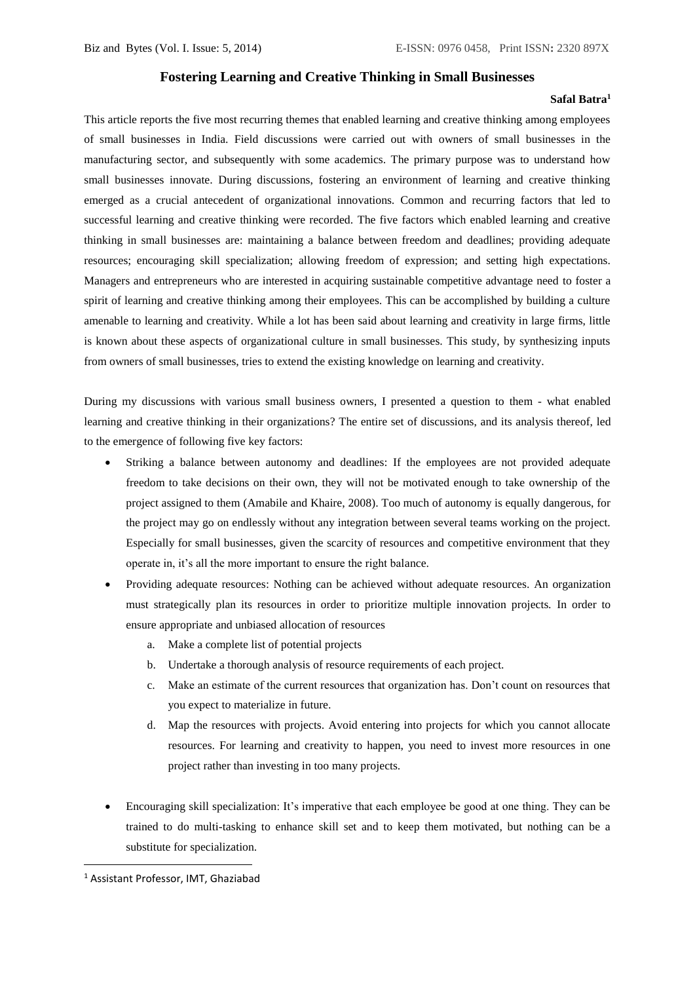## **Fostering Learning and Creative Thinking in Small Businesses**

## **Safal Batra<sup>1</sup>**

This article reports the five most recurring themes that enabled learning and creative thinking among employees of small businesses in India. Field discussions were carried out with owners of small businesses in the manufacturing sector, and subsequently with some academics. The primary purpose was to understand how small businesses innovate. During discussions, fostering an environment of learning and creative thinking emerged as a crucial antecedent of organizational innovations. Common and recurring factors that led to successful learning and creative thinking were recorded. The five factors which enabled learning and creative thinking in small businesses are: maintaining a balance between freedom and deadlines; providing adequate resources; encouraging skill specialization; allowing freedom of expression; and setting high expectations. Managers and entrepreneurs who are interested in acquiring sustainable competitive advantage need to foster a spirit of learning and creative thinking among their employees. This can be accomplished by building a culture amenable to learning and creativity. While a lot has been said about learning and creativity in large firms, little is known about these aspects of organizational culture in small businesses. This study, by synthesizing inputs from owners of small businesses, tries to extend the existing knowledge on learning and creativity.

During my discussions with various small business owners, I presented a question to them - what enabled learning and creative thinking in their organizations? The entire set of discussions, and its analysis thereof, led to the emergence of following five key factors:

- Striking a balance between autonomy and deadlines: If the employees are not provided adequate freedom to take decisions on their own, they will not be motivated enough to take ownership of the project assigned to them (Amabile and Khaire, 2008). Too much of autonomy is equally dangerous, for the project may go on endlessly without any integration between several teams working on the project. Especially for small businesses, given the scarcity of resources and competitive environment that they operate in, it's all the more important to ensure the right balance.
- Providing adequate resources: Nothing can be achieved without adequate resources. An organization must strategically plan its resources in order to prioritize multiple innovation projects. In order to ensure appropriate and unbiased allocation of resources
	- a. Make a complete list of potential projects
	- b. Undertake a thorough analysis of resource requirements of each project.
	- c. Make an estimate of the current resources that organization has. Don't count on resources that you expect to materialize in future.
	- d. Map the resources with projects. Avoid entering into projects for which you cannot allocate resources. For learning and creativity to happen, you need to invest more resources in one project rather than investing in too many projects.
- Encouraging skill specialization: It's imperative that each employee be good at one thing. They can be trained to do multi-tasking to enhance skill set and to keep them motivated, but nothing can be a substitute for specialization.

1

<sup>1</sup> Assistant Professor, IMT, Ghaziabad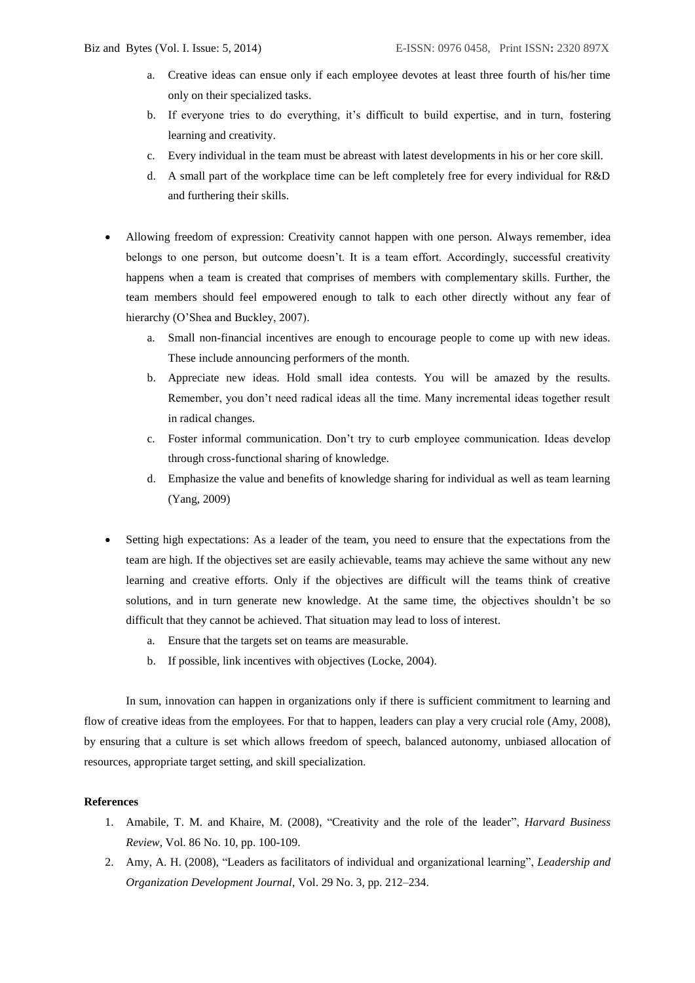- a. Creative ideas can ensue only if each employee devotes at least three fourth of his/her time only on their specialized tasks.
- b. If everyone tries to do everything, it's difficult to build expertise, and in turn, fostering learning and creativity.
- c. Every individual in the team must be abreast with latest developments in his or her core skill.
- d. A small part of the workplace time can be left completely free for every individual for R&D and furthering their skills.
- Allowing freedom of expression: Creativity cannot happen with one person. Always remember, idea belongs to one person, but outcome doesn't. It is a team effort. Accordingly, successful creativity happens when a team is created that comprises of members with complementary skills. Further, the team members should feel empowered enough to talk to each other directly without any fear of hierarchy (O'Shea and Buckley, 2007).
	- a. Small non-financial incentives are enough to encourage people to come up with new ideas. These include announcing performers of the month.
	- b. Appreciate new ideas. Hold small idea contests. You will be amazed by the results. Remember, you don't need radical ideas all the time. Many incremental ideas together result in radical changes.
	- c. Foster informal communication. Don't try to curb employee communication. Ideas develop through cross-functional sharing of knowledge.
	- d. Emphasize the value and benefits of knowledge sharing for individual as well as team learning (Yang, 2009)
- Setting high expectations: As a leader of the team, you need to ensure that the expectations from the team are high. If the objectives set are easily achievable, teams may achieve the same without any new learning and creative efforts. Only if the objectives are difficult will the teams think of creative solutions, and in turn generate new knowledge. At the same time, the objectives shouldn't be so difficult that they cannot be achieved. That situation may lead to loss of interest.
	- a. Ensure that the targets set on teams are measurable.
	- b. If possible, link incentives with objectives (Locke, 2004).

In sum, innovation can happen in organizations only if there is sufficient commitment to learning and flow of creative ideas from the employees. For that to happen, leaders can play a very crucial role (Amy, 2008), by ensuring that a culture is set which allows freedom of speech, balanced autonomy, unbiased allocation of resources, appropriate target setting, and skill specialization.

## **References**

- 1. Amabile, T. M. and Khaire, M. (2008), "Creativity and the role of the leader", *Harvard Business Review*, Vol. 86 No. 10, pp. 100-109.
- 2. Amy, A. H. (2008), "Leaders as facilitators of individual and organizational learning", *Leadership and Organization Development Journal*, Vol. 29 No. 3, pp. 212–234.